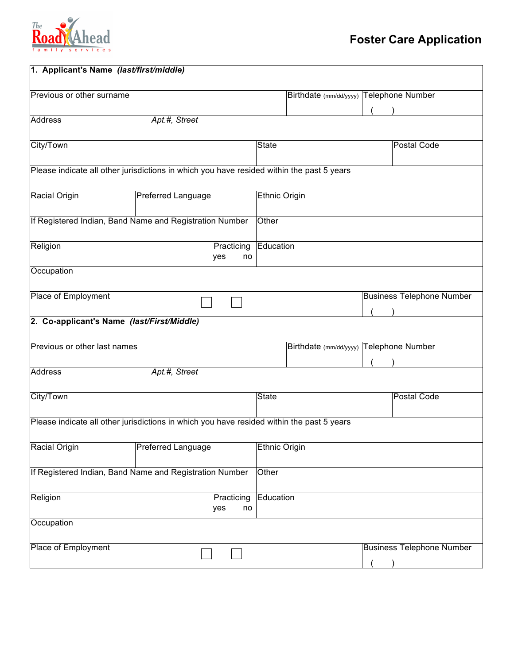

| 1. Applicant's Name (last/first/middle)                                                   |                                         |  |                                  |  |  |  |
|-------------------------------------------------------------------------------------------|-----------------------------------------|--|----------------------------------|--|--|--|
| Previous or other surname                                                                 | Birthdate (mm/dd/yyyy) Telephone Number |  |                                  |  |  |  |
| <b>Address</b><br>Apt.#, Street                                                           |                                         |  |                                  |  |  |  |
| City/Town                                                                                 | <b>State</b>                            |  | Postal Code                      |  |  |  |
| Please indicate all other jurisdictions in which you have resided within the past 5 years |                                         |  |                                  |  |  |  |
| Racial Origin<br><b>Preferred Language</b>                                                | <b>Ethnic Origin</b>                    |  |                                  |  |  |  |
| If Registered Indian, Band Name and Registration Number                                   | Other                                   |  |                                  |  |  |  |
| Religion<br>Practicing<br>yes<br>no                                                       | Education                               |  |                                  |  |  |  |
| Occupation                                                                                |                                         |  |                                  |  |  |  |
| Place of Employment                                                                       |                                         |  | <b>Business Telephone Number</b> |  |  |  |
| 2. Co-applicant's Name (last/First/Middle)                                                |                                         |  |                                  |  |  |  |
| Previous or other last names                                                              | Birthdate (mm/dd/yyyy) Telephone Number |  |                                  |  |  |  |
| <b>Address</b><br>Apt.#, Street                                                           |                                         |  |                                  |  |  |  |
| City/Town                                                                                 | <b>State</b>                            |  | Postal Code                      |  |  |  |
| Please indicate all other jurisdictions in which you have resided within the past 5 years |                                         |  |                                  |  |  |  |
| <b>Racial Origin</b><br><b>Preferred Language</b>                                         | <b>Ethnic Origin</b>                    |  |                                  |  |  |  |
| If Registered Indian, Band Name and Registration Number                                   | Other                                   |  |                                  |  |  |  |
| Religion<br>Practicing<br>yes<br>no                                                       | Education                               |  |                                  |  |  |  |
| Occupation                                                                                |                                         |  |                                  |  |  |  |
| Place of Employment                                                                       |                                         |  | <b>Business Telephone Number</b> |  |  |  |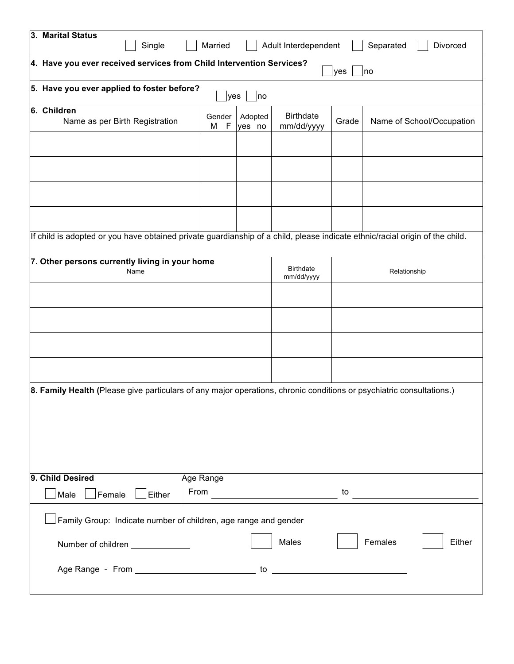|                                                                                                                              | 3. Marital Status<br>Single                                          | Married                        |                   | Adult Interdependent           |       | Separated<br>Divorced     |  |
|------------------------------------------------------------------------------------------------------------------------------|----------------------------------------------------------------------|--------------------------------|-------------------|--------------------------------|-------|---------------------------|--|
|                                                                                                                              | 4. Have you ever received services from Child Intervention Services? |                                |                   |                                | yes   | no                        |  |
|                                                                                                                              | 5. Have you ever applied to foster before?<br>lyes<br> no            |                                |                   |                                |       |                           |  |
|                                                                                                                              | 6. Children<br>Name as per Birth Registration                        | Gender<br>$\mathsf F$<br>M     | Adopted<br>yes no | <b>Birthdate</b><br>mm/dd/yyyy | Grade | Name of School/Occupation |  |
|                                                                                                                              |                                                                      |                                |                   |                                |       |                           |  |
|                                                                                                                              |                                                                      |                                |                   |                                |       |                           |  |
|                                                                                                                              |                                                                      |                                |                   |                                |       |                           |  |
| If child is adopted or you have obtained private guardianship of a child, please indicate ethnic/racial origin of the child. |                                                                      |                                |                   |                                |       |                           |  |
| 7. Other persons currently living in your home<br>Name                                                                       |                                                                      | <b>Birthdate</b><br>mm/dd/yyyy | Relationship      |                                |       |                           |  |
|                                                                                                                              |                                                                      |                                |                   |                                |       |                           |  |
|                                                                                                                              |                                                                      |                                |                   |                                |       |                           |  |
|                                                                                                                              |                                                                      |                                |                   |                                |       |                           |  |
| 8. Family Health (Please give particulars of any major operations, chronic conditions or psychiatric consultations.)         |                                                                      |                                |                   |                                |       |                           |  |
|                                                                                                                              | 9. Child Desired                                                     | Age Range                      |                   |                                |       |                           |  |
|                                                                                                                              | From<br>Male<br>Female<br>Either                                     |                                |                   |                                | to    |                           |  |
|                                                                                                                              | Family Group: Indicate number of children, age range and gender      |                                |                   |                                |       |                           |  |
|                                                                                                                              | Number of children ______________                                    |                                |                   | Males                          |       | Females<br>Either         |  |
|                                                                                                                              |                                                                      |                                |                   |                                |       |                           |  |